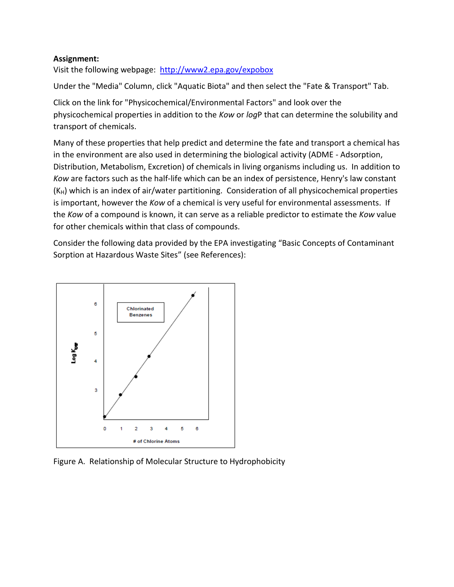## **Assignment:**

Visit the following webpage: [http://www2.epa.gov/expobox](http://www2.epa.gov/expobox/exposure-assessment-tools-media-aquatic-biota#physicochem)

Under the "Media" Column, click "Aquatic Biota" and then select the "Fate & Transport" Tab.

Click on the link for "Physicochemical/Environmental Factors" and look over the physicochemical properties in addition to the *Kow* or *log*P that can determine the solubility and transport of chemicals.

Many of these properties that help predict and determine the fate and transport a chemical has in the environment are also used in determining the biological activity (ADME - Adsorption, Distribution, Metabolism, Excretion) of chemicals in living organisms including us. In addition to *Kow* are factors such as the half-life which can be an index of persistence, Henry's law constant  $(K_H)$  which is an index of air/water partitioning. Consideration of all physicochemical properties is important, however the *Kow* of a chemical is very useful for environmental assessments. If the *Kow* of a compound is known, it can serve as a reliable predictor to estimate the *Kow* value for other chemicals within that class of compounds.

Consider the following data provided by the EPA investigating "Basic Concepts of Contaminant Sorption at Hazardous Waste Sites" (see References):



Figure A. Relationship of Molecular Structure to Hydrophobicity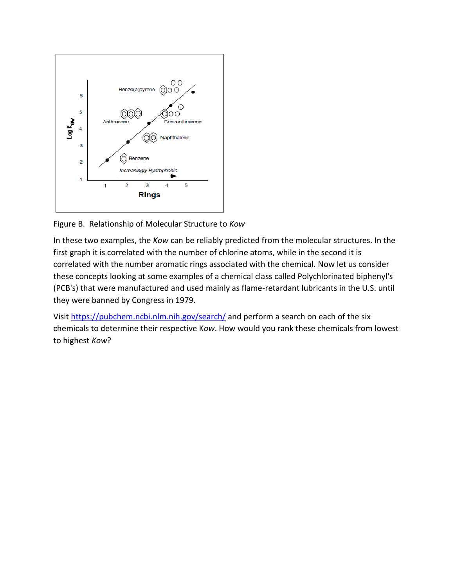

Figure B. Relationship of Molecular Structure to *Kow*

In these two examples, the *Kow* can be reliably predicted from the molecular structures. In the first graph it is correlated with the number of chlorine atoms, while in the second it is correlated with the number aromatic rings associated with the chemical. Now let us consider these concepts looking at some examples of a chemical class called Polychlorinated biphenyl's (PCB's) that were manufactured and used mainly as flame-retardant lubricants in the U.S. until they were banned by Congress in 1979.

Visit <https://pubchem.ncbi.nlm.nih.gov/search/> and perform a search on each of the six chemicals to determine their respective K*ow*. How would you rank these chemicals from lowest to highest *Kow*?